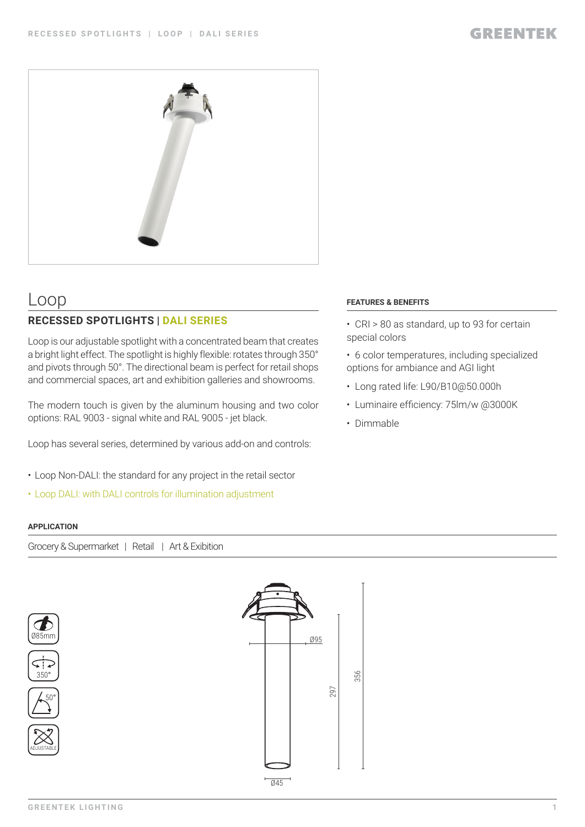

# Loop

# **RECESSED SPOTLIGHTS | DALI SERIES**

Loop is our adjustable spotlight with a concentrated beam that creates a bright light effect. The spotlight is highly flexible: rotates through 350° and pivots through 50°. The directional beam is perfect for retail shops and commercial spaces, art and exhibition galleries and showrooms.

The modern touch is given by the aluminum housing and two color options: RAL 9003 - signal white and RAL 9005 - jet black.

Loop has several series, determined by various add-on and controls:

- Loop Non-DALI: the standard for any project in the retail sector
- Loop DALI: with DALI controls for illumination adjustment

## **APPLICATION**

Grocery & Supermarket | Retail | Art & Exibition











## **FEATURES & BENEFITS**

- CRI > 80 as standard, up to 93 for certain special colors
- 6 color temperatures, including specialized options for ambiance and AGI light
- Long rated life: L90/B10@50.000h
- Luminaire efficiency: 75lm/w @3000K
- Dimmable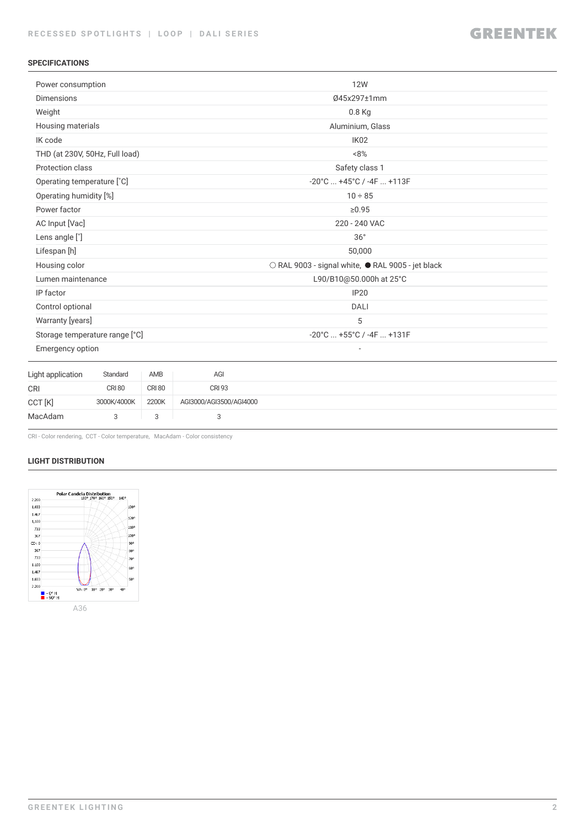## **SPECIFICATIONS**

| Power consumption          |                                |               |                         | <b>12W</b>                                        |  |  |  |
|----------------------------|--------------------------------|---------------|-------------------------|---------------------------------------------------|--|--|--|
| <b>Dimensions</b>          |                                |               |                         | 045x297±1mm                                       |  |  |  |
| Weight                     |                                |               |                         | 0.8 Kg                                            |  |  |  |
|                            | Housing materials              |               |                         | Aluminium, Glass                                  |  |  |  |
| IK code                    |                                |               |                         | IK <sub>02</sub>                                  |  |  |  |
|                            | THD (at 230V, 50Hz, Full load) |               |                         | $~8\%$                                            |  |  |  |
| Protection class           |                                |               |                         | Safety class 1                                    |  |  |  |
| Operating temperature [°C] |                                |               |                         | $-20^{\circ}$ C $+45^{\circ}$ C / $-4$ F $+113$ F |  |  |  |
| Operating humidity [%]     |                                |               |                         | $10 \div 85$                                      |  |  |  |
| Power factor               |                                |               |                         | ≥0.95                                             |  |  |  |
| AC Input [Vac]             |                                |               |                         | 220 - 240 VAC                                     |  |  |  |
| Lens angle [°]             |                                |               |                         | 36°                                               |  |  |  |
| Lifespan [h]               |                                |               |                         | 50,000                                            |  |  |  |
| Housing color              |                                |               |                         | ○ RAL 9003 - signal white, ● RAL 9005 - jet black |  |  |  |
| Lumen maintenance          |                                |               |                         | L90/B10@50.000h at 25°C                           |  |  |  |
| IP factor                  |                                |               |                         | <b>IP20</b>                                       |  |  |  |
| Control optional           |                                |               |                         | <b>DALI</b>                                       |  |  |  |
| Warranty [years]           |                                |               |                         | 5                                                 |  |  |  |
|                            | Storage temperature range [°C] |               |                         | -20°C  +55°C / -4F  +131F                         |  |  |  |
| Emergency option           |                                |               |                         |                                                   |  |  |  |
| Light application          | Standard                       | AMB           | AGI                     |                                                   |  |  |  |
| <b>CRI</b>                 | <b>CRI 80</b>                  | <b>CRI 80</b> | <b>CRI 93</b>           |                                                   |  |  |  |
| CCT [K]                    | 3000K/4000K                    | 2200K         | AGI3000/AGI3500/AGI4000 |                                                   |  |  |  |
| MacAdam                    | 3                              | 3             | 3                       |                                                   |  |  |  |
|                            |                                |               |                         |                                                   |  |  |  |

CRI - Color rendering, CCT - Color temperature, MacAdam - Color consistency

### **LIGHT DISTRIBUTION**

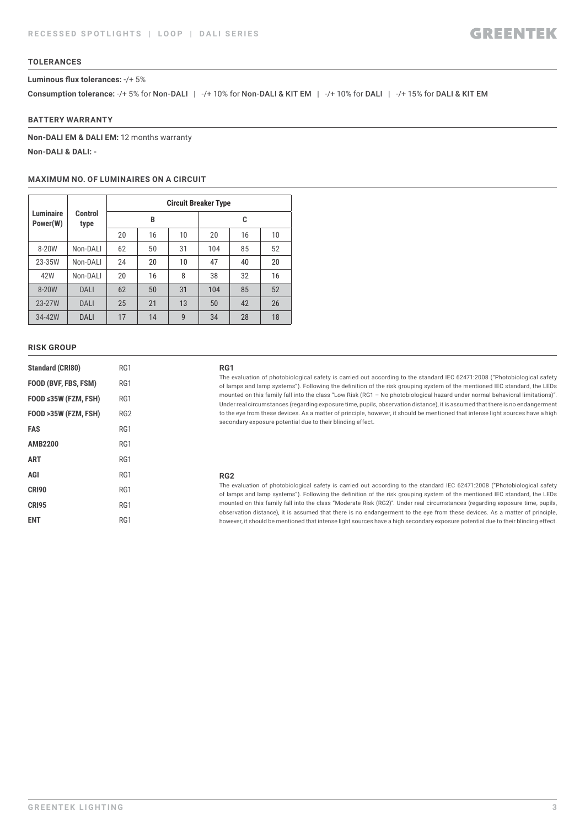### **TOLERANCES**

#### **Luminous flux tolerances:** -/+ 5%

**Consumption tolerance: -/+ 5% for Non-DALI | -/+ 10% for Non-DALI & KIT EM | -/+ 10% for DALI | -/+ 15% for DALI & KIT EM** 

### **BATTERY WARRANTY**

**Non-DALI EM & DALI EM:** 12 months warranty **Non-DALI & DALI: -**

#### **MAXIMUM NO. OF LUMINAIRES ON A CIRCUIT**

|                              | Control<br>type | <b>Circuit Breaker Type</b> |    |    |     |    |    |  |
|------------------------------|-----------------|-----------------------------|----|----|-----|----|----|--|
| <b>Luminaire</b><br>Power(W) |                 |                             | B  |    | C   |    |    |  |
|                              |                 | 20                          | 16 | 10 | 20  | 16 | 10 |  |
| 8-20W                        | Non-DALI        | 62                          | 50 | 31 | 104 | 85 | 52 |  |
| 23-35W                       | Non-DALI        | 24                          | 20 | 10 | 47  | 40 | 20 |  |
| 42W                          | Non-DALI        | 20                          | 16 | 8  | 38  | 32 | 16 |  |
| 8-20W                        | DALI            | 62                          | 50 | 31 | 104 | 85 | 52 |  |
| 23-27W                       | DALI            | 25                          | 21 | 13 | 50  | 42 | 26 |  |
| 34-42W                       | DALI            | 17                          | 14 | 9  | 34  | 28 | 18 |  |

#### **RISK GROUP**

| <b>Standard (CRI80)</b> | RG1             |
|-------------------------|-----------------|
| FOOD (BVF, FBS, FSM)    | RG1             |
| FOOD ≤35W (FZM, FSH)    | RG1             |
| FOOD >35W (FZM, FSH)    | RG <sub>2</sub> |
| FAS                     | RG1             |
| <b>AMB2200</b>          | RG1             |
| <b>ART</b>              | RG1             |
| AGI                     | RG1             |
| CRI90                   | RG1             |
| <b>CRI95</b>            | RG1             |
| ENT                     | RG1             |

#### **RG1**

The evaluation of photobiological safety is carried out according to the standard IEC 62471:2008 ("Photobiological safety of lamps and lamp systems"). Following the definition of the risk grouping system of the mentioned IEC standard, the LEDs mounted on this family fall into the class "Low Risk (RG1 – No photobiological hazard under normal behavioral limitations)". Under real circumstances (regarding exposure time, pupils, observation distance), it is assumed that there is no endangerment to the eye from these devices. As a matter of principle, however, it should be mentioned that intense light sources have a high secondary exposure potential due to their blinding effect.

#### **RG2**

The evaluation of photobiological safety is carried out according to the standard IEC 62471:2008 ("Photobiological safety of lamps and lamp systems"). Following the definition of the risk grouping system of the mentioned IEC standard, the LEDs mounted on this family fall into the class "Moderate Risk (RG2)". Under real circumstances (regarding exposure time, pupils, observation distance), it is assumed that there is no endangerment to the eye from these devices. As a matter of principle, however, it should be mentioned that intense light sources have a high secondary exposure potential due to their blinding effect.